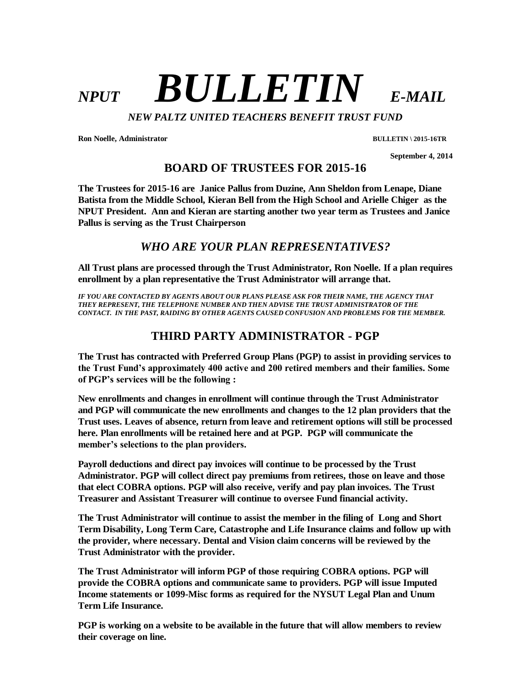# *NPUT BULLETIN E-MAIL*

*NEW PALTZ UNITED TEACHERS BENEFIT TRUST FUND*

**Ron Noelle, Administrator BULLETIN \ 2015-16TR**

 **September 4, 2014**

**BOARD OF TRUSTEES FOR 2015-16**

**The Trustees for 2015-16 are Janice Pallus from Duzine, Ann Sheldon from Lenape, Diane Batista from the Middle School, Kieran Bell from the High School and Arielle Chiger as the NPUT President. Ann and Kieran are starting another two year term as Trustees and Janice Pallus is serving as the Trust Chairperson**

## *WHO ARE YOUR PLAN REPRESENTATIVES?*

**All Trust plans are processed through the Trust Administrator, Ron Noelle. If a plan requires enrollment by a plan representative the Trust Administrator will arrange that.**

*IF YOU ARE CONTACTED BY AGENTS ABOUT OUR PLANS PLEASE ASK FOR THEIR NAME, THE AGENCY THAT THEY REPRESENT, THE TELEPHONE NUMBER AND THEN ADVISE THE TRUST ADMINISTRATOR OF THE CONTACT. IN THE PAST, RAIDING BY OTHER AGENTS CAUSED CONFUSION AND PROBLEMS FOR THE MEMBER.*

## **THIRD PARTY ADMINISTRATOR - PGP**

**The Trust has contracted with Preferred Group Plans (PGP) to assist in providing services to the Trust Fund's approximately 400 active and 200 retired members and their families. Some of PGP's services will be the following :**

**New enrollments and changes in enrollment will continue through the Trust Administrator and PGP will communicate the new enrollments and changes to the 12 plan providers that the Trust uses. Leaves of absence, return from leave and retirement options will still be processed here. Plan enrollments will be retained here and at PGP. PGP will communicate the member's selections to the plan providers.** 

**Payroll deductions and direct pay invoices will continue to be processed by the Trust Administrator. PGP will collect direct pay premiums from retirees, those on leave and those that elect COBRA options. PGP will also receive, verify and pay plan invoices. The Trust Treasurer and Assistant Treasurer will continue to oversee Fund financial activity.**

**The Trust Administrator will continue to assist the member in the filing of Long and Short Term Disability, Long Term Care, Catastrophe and Life Insurance claims and follow up with the provider, where necessary. Dental and Vision claim concerns will be reviewed by the Trust Administrator with the provider.**

**The Trust Administrator will inform PGP of those requiring COBRA options. PGP will provide the COBRA options and communicate same to providers. PGP will issue Imputed Income statements or 1099-Misc forms as required for the NYSUT Legal Plan and Unum Term Life Insurance.**

**PGP is working on a website to be available in the future that will allow members to review their coverage on line.**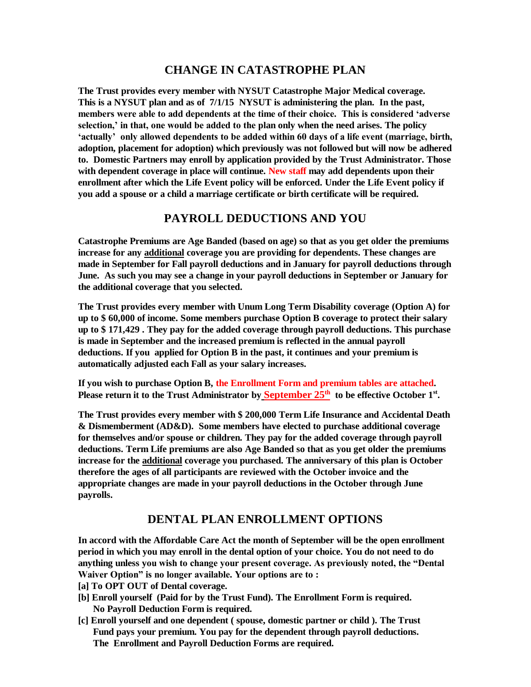#### **CHANGE IN CATASTROPHE PLAN**

**The Trust provides every member with NYSUT Catastrophe Major Medical coverage. This is a NYSUT plan and as of 7/1/15 NYSUT is administering the plan. In the past, members were able to add dependents at the time of their choice. This is considered 'adverse selection,' in that, one would be added to the plan only when the need arises. The policy 'actually' only allowed dependents to be added within 60 days of a life event (marriage, birth, adoption, placement for adoption) which previously was not followed but will now be adhered to. Domestic Partners may enroll by application provided by the Trust Administrator. Those with dependent coverage in place will continue. New staff may add dependents upon their enrollment after which the Life Event policy will be enforced. Under the Life Event policy if you add a spouse or a child a marriage certificate or birth certificate will be required.**

#### **PAYROLL DEDUCTIONS AND YOU**

**Catastrophe Premiums are Age Banded (based on age) so that as you get older the premiums increase for any additional coverage you are providing for dependents. These changes are made in September for Fall payroll deductions and in January for payroll deductions through June. As such you may see a change in your payroll deductions in September or January for the additional coverage that you selected.**

**The Trust provides every member with Unum Long Term Disability coverage (Option A) for up to \$ 60,000 of income. Some members purchase Option B coverage to protect their salary up to \$ 171,429 . They pay for the added coverage through payroll deductions. This purchase is made in September and the increased premium is reflected in the annual payroll deductions. If you applied for Option B in the past, it continues and your premium is automatically adjusted each Fall as your salary increases.** 

**If you wish to purchase Option B, the Enrollment Form and premium tables are attached. Please return it to the Trust Administrator by September 25th to be effective October 1st .**

**The Trust provides every member with \$ 200,000 Term Life Insurance and Accidental Death & Dismemberment (AD&D). Some members have elected to purchase additional coverage for themselves and/or spouse or children. They pay for the added coverage through payroll deductions. Term Life premiums are also Age Banded so that as you get older the premiums increase for the additional coverage you purchased. The anniversary of this plan is October therefore the ages of all participants are reviewed with the October invoice and the appropriate changes are made in your payroll deductions in the October through June payrolls.**

## **DENTAL PLAN ENROLLMENT OPTIONS**

**In accord with the Affordable Care Act the month of September will be the open enrollment period in which you may enroll in the dental option of your choice. You do not need to do anything unless you wish to change your present coverage. As previously noted, the "Dental Waiver Option" is no longer available. Your options are to :**

- **[a] To OPT OUT of Dental coverage.**
- **[b] Enroll yourself (Paid for by the Trust Fund). The Enrollment Form is required. No Payroll Deduction Form is required.**
- **[c] Enroll yourself and one dependent ( spouse, domestic partner or child ). The Trust Fund pays your premium. You pay for the dependent through payroll deductions. The Enrollment and Payroll Deduction Forms are required.**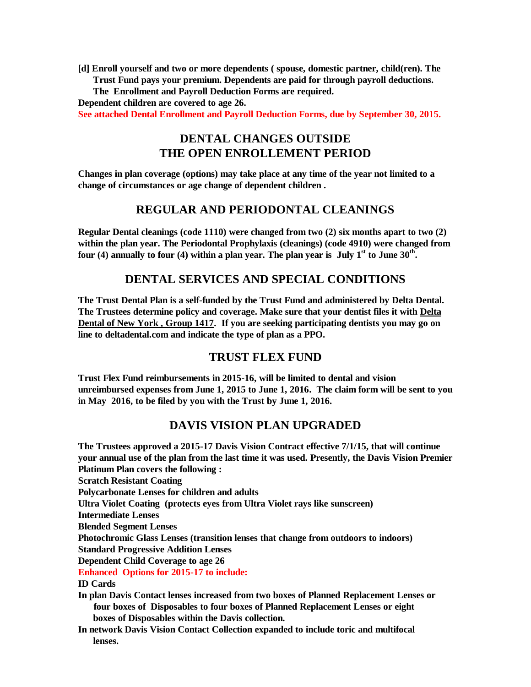**[d] Enroll yourself and two or more dependents ( spouse, domestic partner, child(ren). The Trust Fund pays your premium. Dependents are paid for through payroll deductions.** 

 **The Enrollment and Payroll Deduction Forms are required.** 

**Dependent children are covered to age 26.**

**See attached Dental Enrollment and Payroll Deduction Forms, due by September 30, 2015.**

## **DENTAL CHANGES OUTSIDE THE OPEN ENROLLEMENT PERIOD**

**Changes in plan coverage (options) may take place at any time of the year not limited to a change of circumstances or age change of dependent children .**

#### **REGULAR AND PERIODONTAL CLEANINGS**

**Regular Dental cleanings (code 1110) were changed from two (2) six months apart to two (2) within the plan year. The Periodontal Prophylaxis (cleanings) (code 4910) were changed from four (4) annually to four (4) within a plan year. The plan year is July 1st to June 30th .** 

## **DENTAL SERVICES AND SPECIAL CONDITIONS**

**The Trust Dental Plan is a self-funded by the Trust Fund and administered by Delta Dental. The Trustees determine policy and coverage. Make sure that your dentist files it with Delta Dental of New York , Group 1417. If you are seeking participating dentists you may go on line to deltadental.com and indicate the type of plan as a PPO.**

## **TRUST FLEX FUND**

**Trust Flex Fund reimbursements in 2015-16, will be limited to dental and vision unreimbursed expenses from June 1, 2015 to June 1, 2016. The claim form will be sent to you in May 2016, to be filed by you with the Trust by June 1, 2016.**

#### **DAVIS VISION PLAN UPGRADED**

**The Trustees approved a 2015-17 Davis Vision Contract effective 7/1/15, that will continue your annual use of the plan from the last time it was used. Presently, the Davis Vision Premier Platinum Plan covers the following : Scratch Resistant Coating Polycarbonate Lenses for children and adults Ultra Violet Coating (protects eyes from Ultra Violet rays like sunscreen) Intermediate Lenses Blended Segment Lenses Photochromic Glass Lenses (transition lenses that change from outdoors to indoors) Standard Progressive Addition Lenses Dependent Child Coverage to age 26 Enhanced Options for 2015-17 to include: ID Cards In plan Davis Contact lenses increased from two boxes of Planned Replacement Lenses or four boxes of Disposables to four boxes of Planned Replacement Lenses or eight boxes of Disposables within the Davis collection.**

**In network Davis Vision Contact Collection expanded to include toric and multifocal lenses.**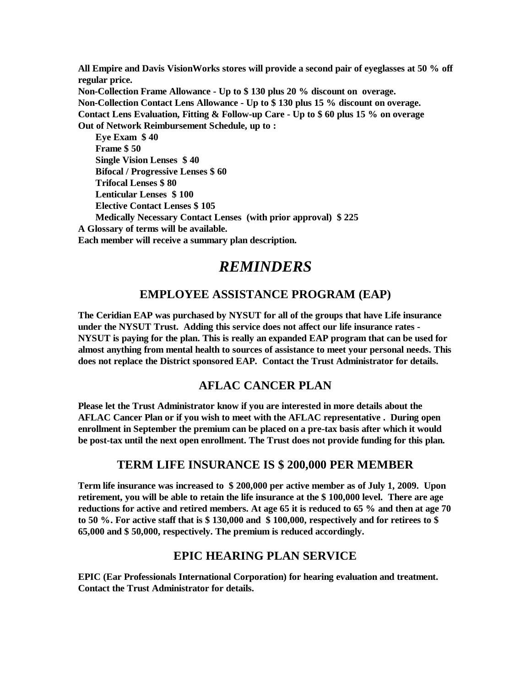**All Empire and Davis VisionWorks stores will provide a second pair of eyeglasses at 50 % off regular price. Non-Collection Frame Allowance - Up to \$ 130 plus 20 % discount on overage. Non-Collection Contact Lens Allowance - Up to \$ 130 plus 15 % discount on overage. Contact Lens Evaluation, Fitting & Follow-up Care - Up to \$ 60 plus 15 % on overage Out of Network Reimbursement Schedule, up to : Eye Exam \$ 40 Frame \$ 50**

 **Single Vision Lenses \$ 40 Bifocal / Progressive Lenses \$ 60 Trifocal Lenses \$ 80 Lenticular Lenses \$ 100 Elective Contact Lenses \$ 105 Medically Necessary Contact Lenses (with prior approval) \$ 225 A Glossary of terms will be available. Each member will receive a summary plan description.**

# *REMINDERS*

## **EMPLOYEE ASSISTANCE PROGRAM (EAP)**

**The Ceridian EAP was purchased by NYSUT for all of the groups that have Life insurance under the NYSUT Trust. Adding this service does not affect our life insurance rates - NYSUT is paying for the plan. This is really an expanded EAP program that can be used for almost anything from mental health to sources of assistance to meet your personal needs. This does not replace the District sponsored EAP. Contact the Trust Administrator for details.**

## **AFLAC CANCER PLAN**

**Please let the Trust Administrator know if you are interested in more details about the AFLAC Cancer Plan or if you wish to meet with the AFLAC representative . During open enrollment in September the premium can be placed on a pre-tax basis after which it would be post-tax until the next open enrollment. The Trust does not provide funding for this plan.**

## **TERM LIFE INSURANCE IS \$ 200,000 PER MEMBER**

**Term life insurance was increased to \$ 200,000 per active member as of July 1, 2009. Upon retirement, you will be able to retain the life insurance at the \$ 100,000 level. There are age reductions for active and retired members. At age 65 it is reduced to 65 % and then at age 70 to 50 %. For active staff that is \$ 130,000 and \$ 100,000, respectively and for retirees to \$ 65,000 and \$ 50,000, respectively. The premium is reduced accordingly.**

## **EPIC HEARING PLAN SERVICE**

**EPIC (Ear Professionals International Corporation) for hearing evaluation and treatment. Contact the Trust Administrator for details.**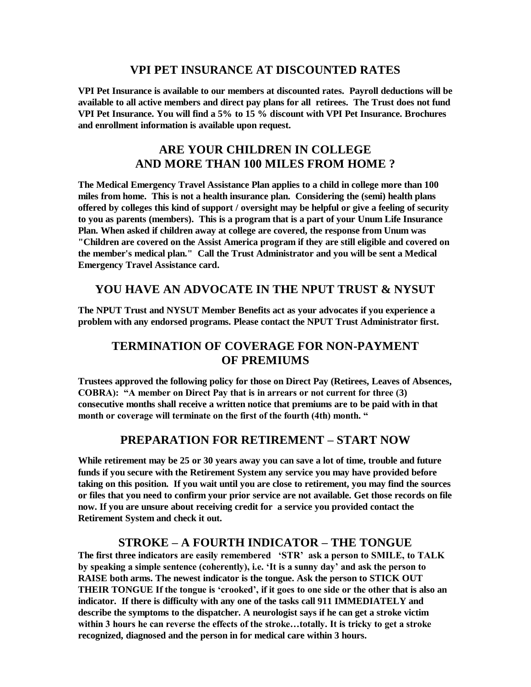#### **VPI PET INSURANCE AT DISCOUNTED RATES**

**VPI Pet Insurance is available to our members at discounted rates. Payroll deductions will be available to all active members and direct pay plans for all retirees. The Trust does not fund VPI Pet Insurance. You will find a 5% to 15 % discount with VPI Pet Insurance. Brochures and enrollment information is available upon request.**

## **ARE YOUR CHILDREN IN COLLEGE AND MORE THAN 100 MILES FROM HOME ?**

**The Medical Emergency Travel Assistance Plan applies to a child in college more than 100 miles from home. This is not a health insurance plan. Considering the (semi) health plans offered by colleges this kind of support / oversight may be helpful or give a feeling of security to you as parents (members). This is a program that is a part of your Unum Life Insurance Plan. When asked if children away at college are covered, the response from Unum was "Children are covered on the Assist America program if they are still eligible and covered on the member's medical plan." Call the Trust Administrator and you will be sent a Medical Emergency Travel Assistance card.**

#### **YOU HAVE AN ADVOCATE IN THE NPUT TRUST & NYSUT**

**The NPUT Trust and NYSUT Member Benefits act as your advocates if you experience a problem with any endorsed programs. Please contact the NPUT Trust Administrator first.**

## **TERMINATION OF COVERAGE FOR NON-PAYMENT OF PREMIUMS**

**Trustees approved the following policy for those on Direct Pay (Retirees, Leaves of Absences, COBRA): "A member on Direct Pay that is in arrears or not current for three (3) consecutive months shall receive a written notice that premiums are to be paid with in that month or coverage will terminate on the first of the fourth (4th) month. "**

## **PREPARATION FOR RETIREMENT – START NOW**

**While retirement may be 25 or 30 years away you can save a lot of time, trouble and future funds if you secure with the Retirement System any service you may have provided before taking on this position. If you wait until you are close to retirement, you may find the sources or files that you need to confirm your prior service are not available. Get those records on file now. If you are unsure about receiving credit for a service you provided contact the Retirement System and check it out.**

## **STROKE – A FOURTH INDICATOR – THE TONGUE**

**The first three indicators are easily remembered 'STR' ask a person to SMILE, to TALK by speaking a simple sentence (coherently), i.e. 'It is a sunny day' and ask the person to RAISE both arms. The newest indicator is the tongue. Ask the person to STICK OUT THEIR TONGUE If the tongue is 'crooked', if it goes to one side or the other that is also an indicator. If there is difficulty with any one of the tasks call 911 IMMEDIATELY and describe the symptoms to the dispatcher. A neurologist says if he can get a stroke victim within 3 hours he can reverse the effects of the stroke…totally. It is tricky to get a stroke recognized, diagnosed and the person in for medical care within 3 hours.**